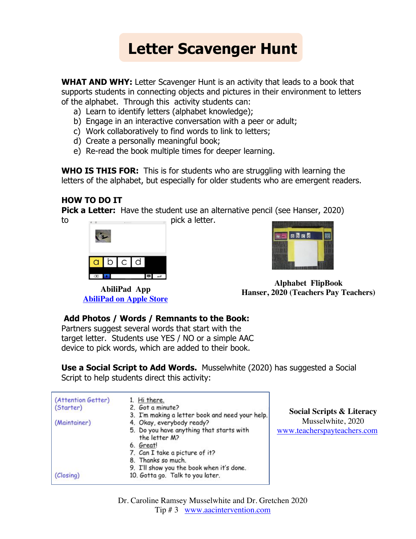# **Letter Scavenger Hunt**

**WHAT AND WHY:** Letter Scavenger Hunt is an activity that leads to a book that supports students in connecting objects and pictures in their environment to letters of the alphabet. Through this activity students can:

- a) Learn to identify letters (alphabet knowledge);
- b) Engage in an interactive conversation with a peer or adult;
- c) Work collaboratively to find words to link to letters;
- d) Create a personally meaningful book;
- e) Re-read the book multiple times for deeper learning.

**WHO IS THIS FOR:** This is for students who are struggling with learning the letters of the alphabet, but especially for older students who are emergent readers.

#### **HOW TO DO IT**

**Pick a Letter:** Have the student use an alternative pencil (see Hanser, 2020)

to pick a letter. in b  $\mathsf{C}$ d ▌

**AbiliPad on Apple Store**



**Alphabet FlipBook Hanser, 2020 (Teachers Pay Teachers) AbiliPad App**

#### **Add Photos / Words / Remnants to the Book:**

Partners suggest several words that start with the target letter. Students use YES / NO or a simple AAC device to pick words, which are added to their book.

| <b>Use a Social Script to Add Words.</b> Musselwhite (2020) has suggested a Social |  |
|------------------------------------------------------------------------------------|--|
| Script to help students direct this activity:                                      |  |

| (Attention Getter) | 1. Hi there.                                              |         |
|--------------------|-----------------------------------------------------------|---------|
| (Starter)          | 2. Got a minute?                                          |         |
|                    | 3. I'm making a letter book and need your help.           | Soci    |
| (Maintainer)       | 4. Okay, everybody ready?                                 |         |
|                    | 5. Do you have anything that starts with<br>the letter M? | www.tea |
|                    | 6. Great!                                                 |         |
|                    | 7. Can I take a picture of it?                            |         |
|                    | 8. Thanks so much.                                        |         |
|                    | 9. I'll show you the book when it's done.                 |         |
| (Closing)          | 10. Gotta go. Talk to you later.                          |         |

**Social Scripts & Literacy** Musselwhite, 2020 acherspayteachers.com